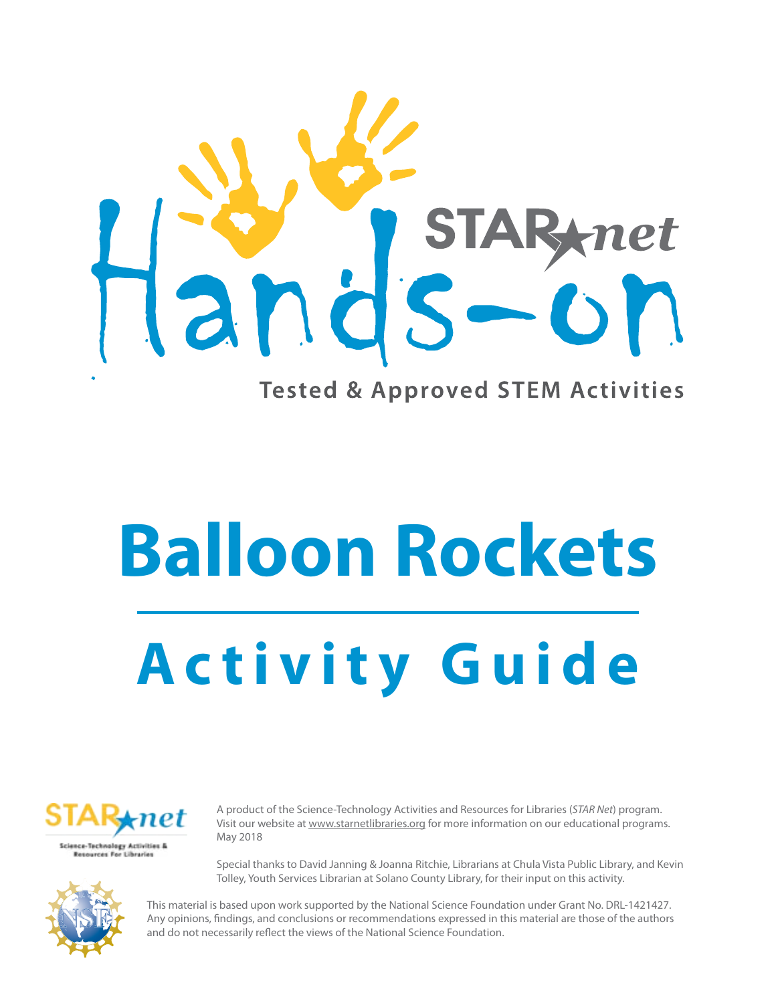

**Balloon Rockets**

# **Activity Guide**



A product of the Science-Technology Activities and Resources for Libraries (*STAR Net*) program. Visit our website at <www.starnetlibraries.org>for more information on our educational programs. May 2018

Special thanks to David Janning & Joanna Ritchie, Librarians at Chula Vista Public Library, and Kevin Tolley, Youth Services Librarian at Solano County Library, for their input on this activity.



This material is based upon work supported by the National Science Foundation under Grant No. DRL-1421427. Any opinions, findings, and conclusions or recommendations expressed in this material are those of the authors and do not necessarily reflect the views of the National Science Foundation.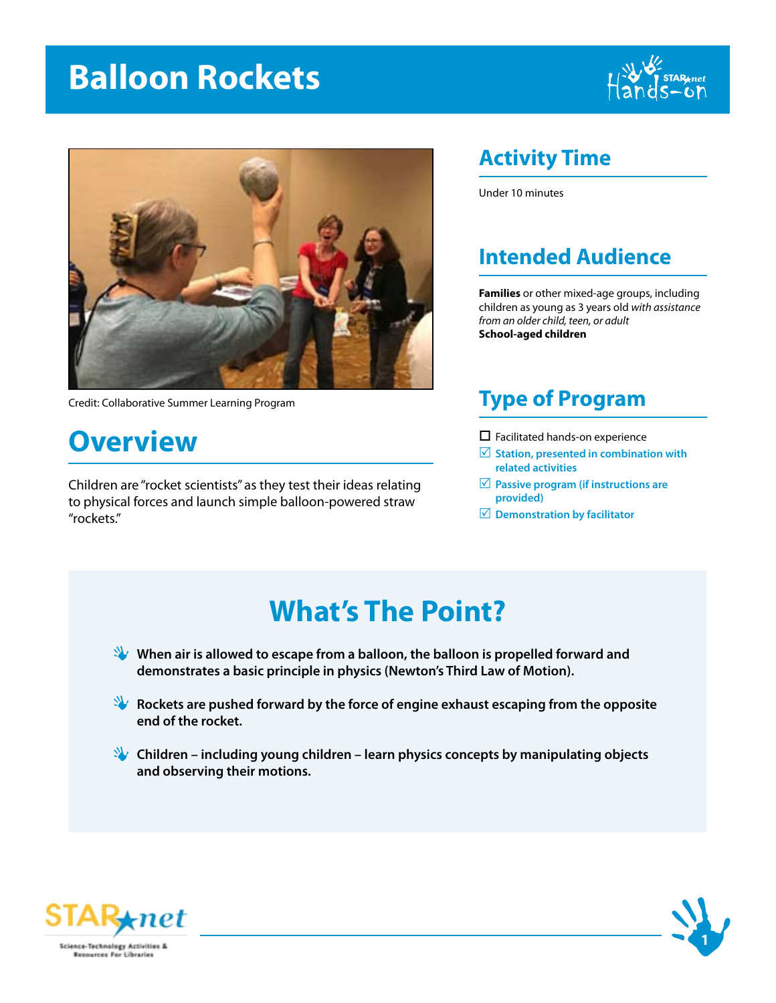## **Balloon Rockets**





Credit: Collaborative Summer Learning Program

### **Overview**

Children are "rocket scientists" as they test their ideas relating to physical forces and launch simple balloon-powered straw "rockets."

#### **Activity Time**

Under 10 minutes

#### **Intended Audience**

**Families** or other mixed-age groups, including children as young as 3 years old *with assistance from an older child, teen, or adult*  **School-aged children**

#### **Type of Program**

- $\square$  Facilitated hands-on experience
- R **Station, presented in combination with related activities**
- $✓$  **Passive program (if instructions are provided)**
- R **Demonstration by facilitator**

## **What's The Point?**

**When air is allowed to escape from a balloon, the balloon is propelled forward and demonstrates a basic principle in physics (Newton's Third Law of Motion).**

**Rockets are pushed forward by the force of engine exhaust escaping from the opposite end of the rocket.**

**Children – including young children – learn physics concepts by manipulating objects and observing their motions.**



Resources For Libraries

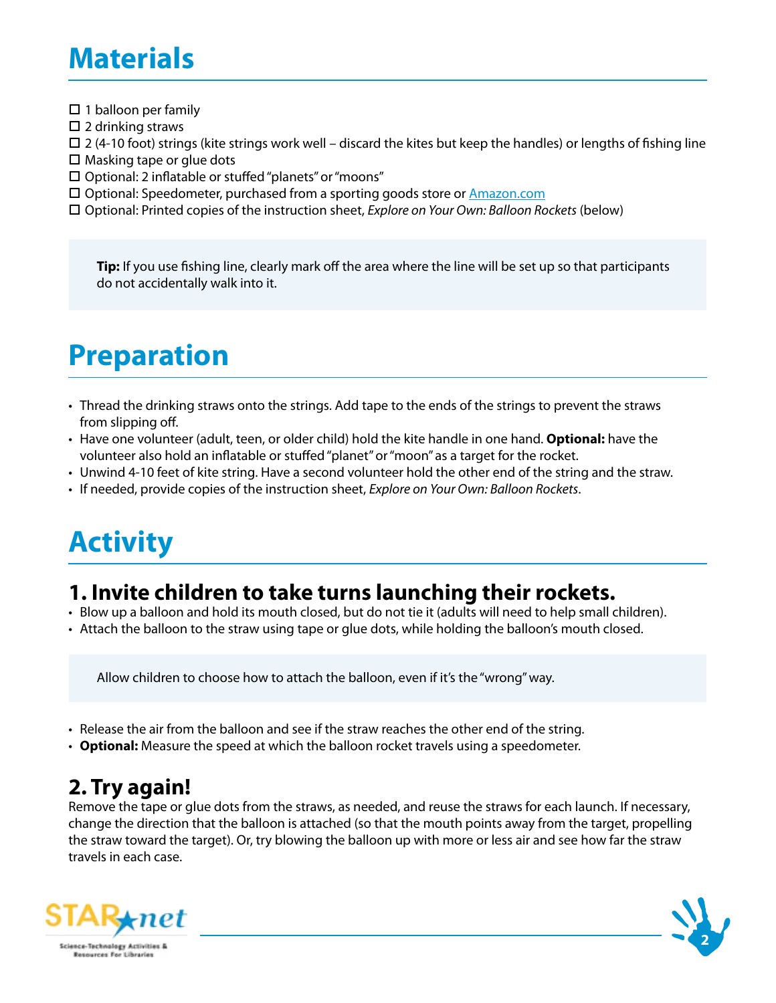## **Materials**

- $\square$  1 balloon per family
- $\square$  2 drinking straws
- $\Box$  2 (4-10 foot) strings (kite strings work well discard the kites but keep the handles) or lengths of fishing line
- $\Box$  Masking tape or glue dots
- $\square$  Optional: 2 inflatable or stuffed "planets" or "moons"
- $\square$  Optional: Speedometer, purchased from a sporting goods store or  $\triangle$ mazon.com
- □ Optional: Printed copies of the instruction sheet, *Explore on Your Own: Balloon Rockets* (below)

**Tip:** If you use fishing line, clearly mark off the area where the line will be set up so that participants do not accidentally walk into it.

## **Preparation**

- Thread the drinking straws onto the strings. Add tape to the ends of the strings to prevent the straws from slipping off.
- Have one volunteer (adult, teen, or older child) hold the kite handle in one hand. **Optional:** have the volunteer also hold an inflatable or stuffed "planet" or "moon" as a target for the rocket.
- Unwind 4-10 feet of kite string. Have a second volunteer hold the other end of the string and the straw.
- If needed, provide copies of the instruction sheet, *Explore on Your Own: Balloon Rockets*.

## **Activity**

#### **1. Invite children to take turns launching their rockets.**

- Blow up a balloon and hold its mouth closed, but do not tie it (adults will need to help small children).
- Attach the balloon to the straw using tape or glue dots, while holding the balloon's mouth closed.

Allow children to choose how to attach the balloon, even if it's the "wrong" way.

- Release the air from the balloon and see if the straw reaches the other end of the string.
- **Optional:** Measure the speed at which the balloon rocket travels using a speedometer.

#### **2. Try again!**

Remove the tape or glue dots from the straws, as needed, and reuse the straws for each launch. If necessary, change the direction that the balloon is attached (so that the mouth points away from the target, propelling the straw toward the target). Or, try blowing the balloon up with more or less air and see how far the straw travels in each case.



**2**

**Science-Technology Activities &** Resources For Libraries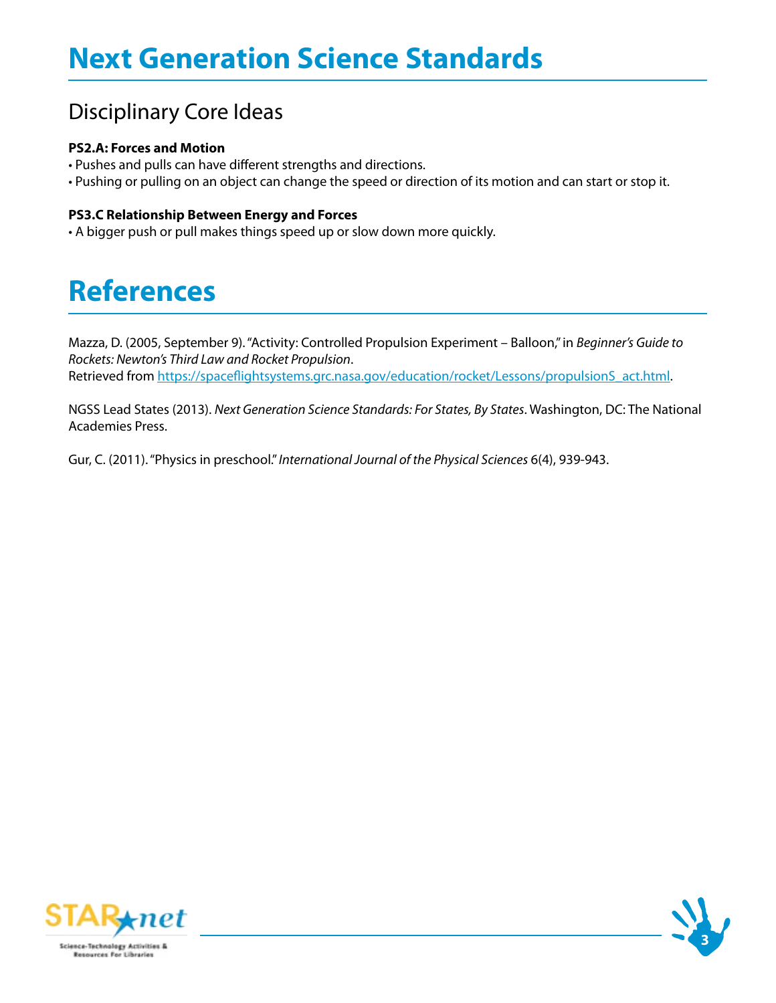#### Disciplinary Core Ideas

#### **PS2.A: Forces and Motion**

- Pushes and pulls can have different strengths and directions.
- Pushing or pulling on an object can change the speed or direction of its motion and can start or stop it.

#### **PS3.C Relationship Between Energy and Forces**

• A bigger push or pull makes things speed up or slow down more quickly.

## **References**

Mazza, D. (2005, September 9). "Activity: Controlled Propulsion Experiment – Balloon," in *Beginner's Guide to Rockets: Newton's Third Law and Rocket Propulsion*. Retrieved from [https://spaceflightsystems.grc.nasa.gov/education/rocket/Lessons/propulsionS\\_act.html.](https://spaceflightsystems.grc.nasa.gov/education/rocket/Lessons/propulsionS_act.html)

NGSS Lead States (2013). *Next Generation Science Standards: For States, By States*. Washington, DC: The National Academies Press.

Gur, C. (2011). "Physics in preschool." *International Journal of the Physical Sciences* 6(4), 939-943.



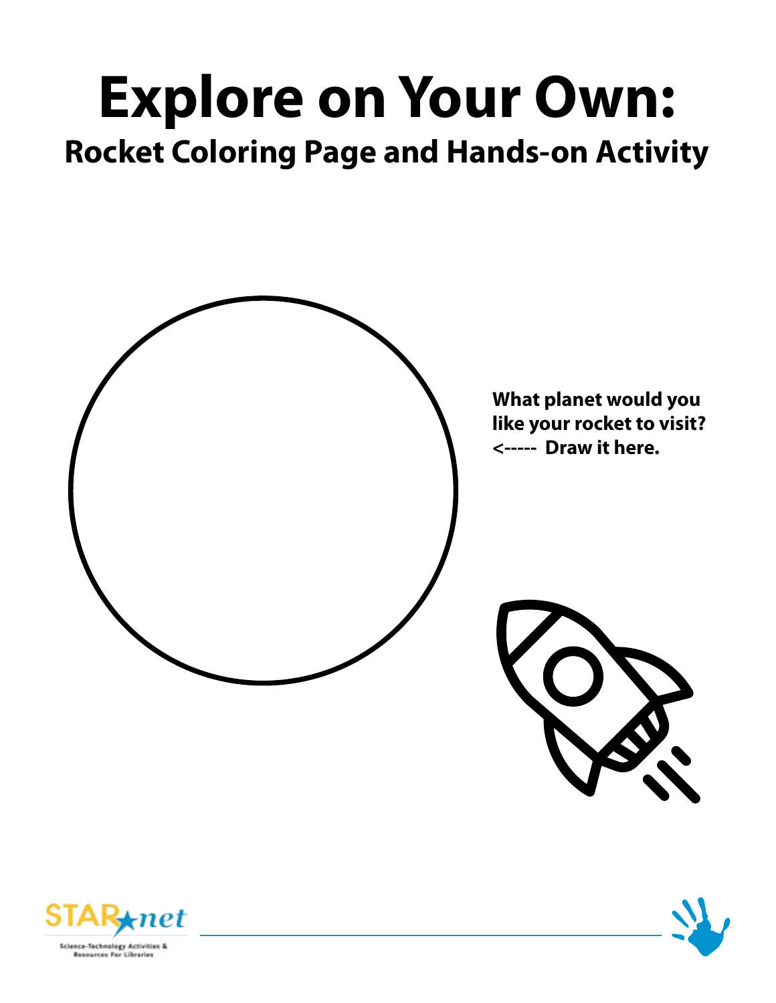## **Explore on Your Own: Rocket Coloring Page and Hands-on Activity**







Resources For Libraries